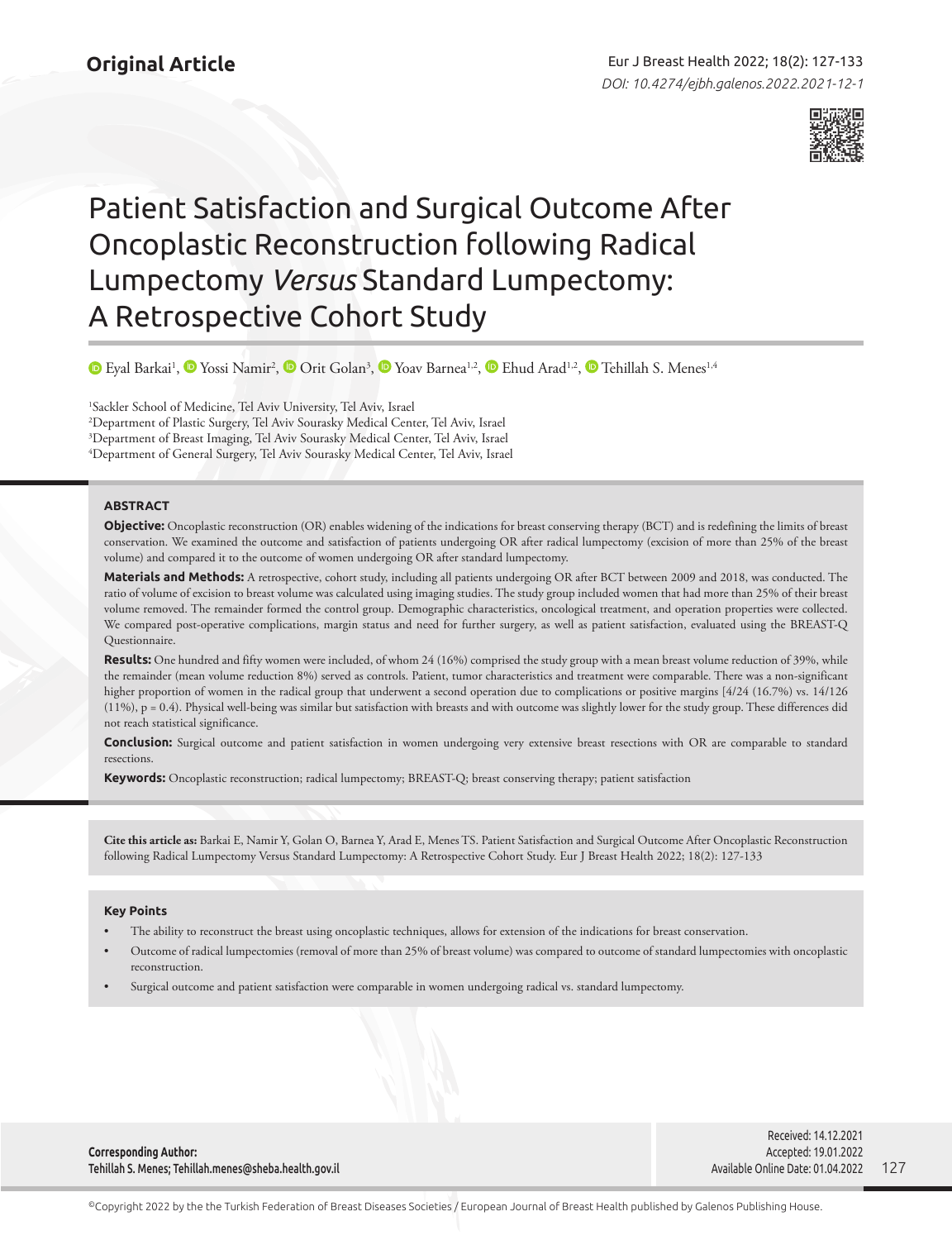

# Patient Satisfaction and Surgical Outcome After Oncoplastic Reconstruction following Radical Lumpectomy *Versus* Standard Lumpectomy: A Retrospective Cohort Study

EyalBarkai<sup>1</sup>, © Yossi Namir<sup>2</sup>, © Orit Golan<sup>3</sup>, © Yoav Barnea<sup>1,2</sup>, © Ehud Arad<sup>1,2</sup>, © [T](https://orcid.org/0000-0001-7988-3747)ehillah S. Menes<sup>1,4</sup>

 Sackler School of Medicine, Tel Aviv University, Tel Aviv, Israel Department of Plastic Surgery, Tel Aviv Sourasky Medical Center, Tel Aviv, Israel Department of Breast Imaging, Tel Aviv Sourasky Medical Center, Tel Aviv, Israel Department of General Surgery, Tel Aviv Sourasky Medical Center, Tel Aviv, Israel

## **ABSTRACT**

**Objective:** Oncoplastic reconstruction (OR) enables widening of the indications for breast conserving therapy (BCT) and is redefining the limits of breast conservation. We examined the outcome and satisfaction of patients undergoing OR after radical lumpectomy (excision of more than 25% of the breast volume) and compared it to the outcome of women undergoing OR after standard lumpectomy.

**Materials and Methods:** A retrospective, cohort study, including all patients undergoing OR after BCT between 2009 and 2018, was conducted. The ratio of volume of excision to breast volume was calculated using imaging studies. The study group included women that had more than 25% of their breast volume removed. The remainder formed the control group. Demographic characteristics, oncological treatment, and operation properties were collected. We compared post-operative complications, margin status and need for further surgery, as well as patient satisfaction, evaluated using the BREAST-Q Questionnaire.

**Results:** One hundred and fifty women were included, of whom 24 (16%) comprised the study group with a mean breast volume reduction of 39%, while the remainder (mean volume reduction 8%) served as controls. Patient, tumor characteristics and treatment were comparable. There was a non-significant higher proportion of women in the radical group that underwent a second operation due to complications or positive margins [4/24 (16.7%) vs. 14/126 (11%), p = 0.4). Physical well-being was similar but satisfaction with breasts and with outcome was slightly lower for the study group. These differences did not reach statistical significance.

**Conclusion:** Surgical outcome and patient satisfaction in women undergoing very extensive breast resections with OR are comparable to standard resections.

**Keywords:** Oncoplastic reconstruction; radical lumpectomy; BREAST-Q; breast conserving therapy; patient satisfaction

**Cite this article as:** Barkai E, Namir Y, Golan O, Barnea Y, Arad E, Menes TS. Patient Satisfaction and Surgical Outcome After Oncoplastic Reconstruction following Radical Lumpectomy Versus Standard Lumpectomy: A Retrospective Cohort Study. Eur J Breast Health 2022; 18(2): 127-133

## **Key Points**

- The ability to reconstruct the breast using oncoplastic techniques, allows for extension of the indications for breast conservation.
- Outcome of radical lumpectomies (removal of more than 25% of breast volume) was compared to outcome of standard lumpectomies with oncoplastic reconstruction.
- Surgical outcome and patient satisfaction were comparable in women undergoing radical vs. standard lumpectomy.

**Corresponding Author:**  Tehillah S. Menes; Tehillah.menes@sheba.health.gov.il

127 Received: 14.12.2021 Accepted: 19.01.2022 Available Online Date: 01.04.2022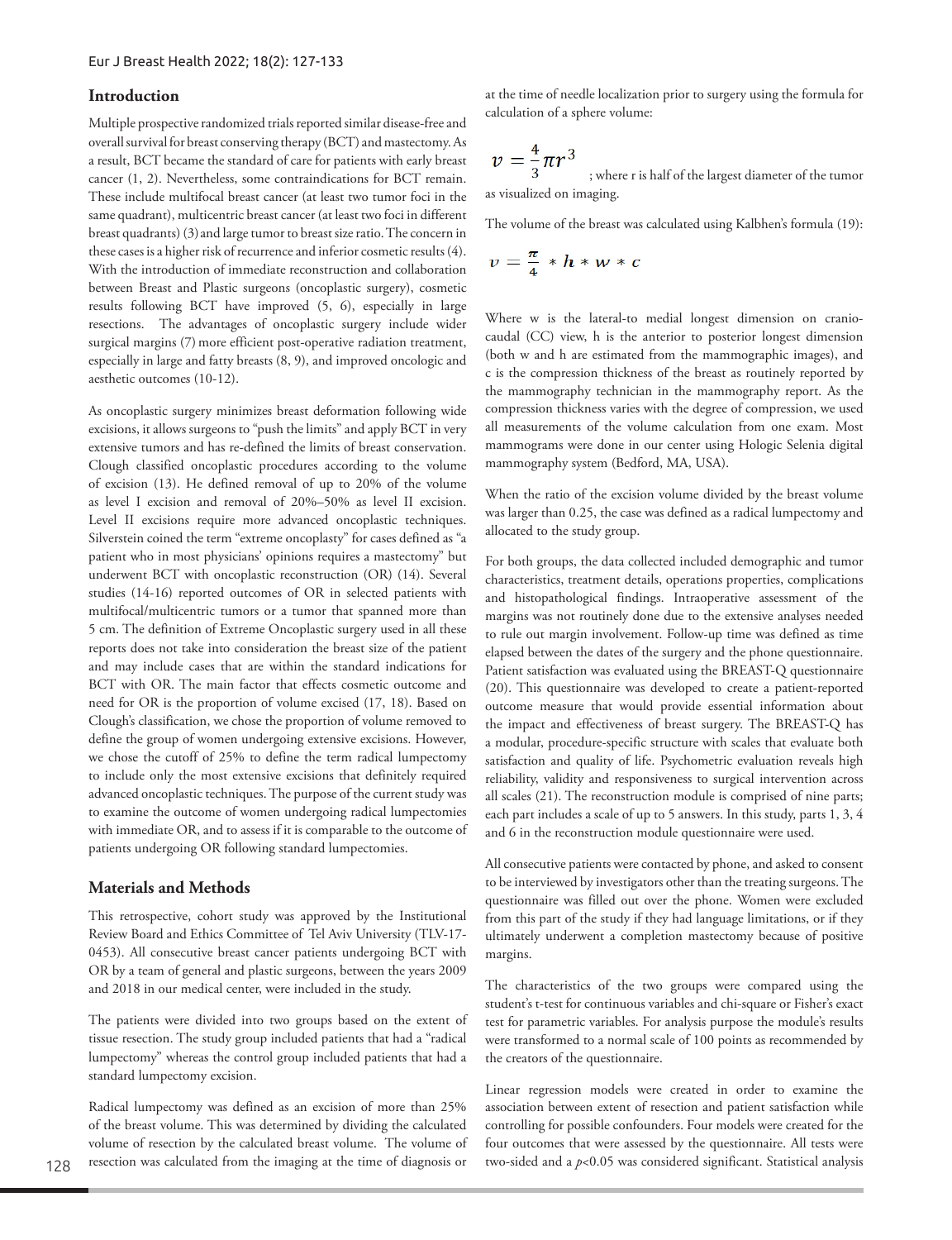## **Introduction**

Multiple prospective randomized trials reported similar disease-free and overall survival for breast conserving therapy (BCT) and mastectomy. As a result, BCT became the standard of care for patients with early breast cancer (1, 2). Nevertheless, some contraindications for BCT remain. These include multifocal breast cancer (at least two tumor foci in the same quadrant), multicentric breast cancer (at least two foci in different breast quadrants) (3)and large tumor to breast size ratio. The concern in these cases is a higher risk of recurrence and inferior cosmetic results (4). With the introduction of immediate reconstruction and collaboration between Breast and Plastic surgeons (oncoplastic surgery), cosmetic results following BCT have improved (5, 6), especially in large resections. The advantages of oncoplastic surgery include wider surgical margins (7) more efficient post-operative radiation treatment, especially in large and fatty breasts (8, 9), and improved oncologic and aesthetic outcomes (10-12).

As oncoplastic surgery minimizes breast deformation following wide excisions, it allows surgeons to "push the limits" and apply BCT in very extensive tumors and has re-defined the limits of breast conservation. Clough classified oncoplastic procedures according to the volume of excision (13). He defined removal of up to 20% of the volume as level I excision and removal of 20%–50% as level II excision. Level II excisions require more advanced oncoplastic techniques. Silverstein coined the term "extreme oncoplasty" for cases defined as "a patient who in most physicians' opinions requires a mastectomy" but underwent BCT with oncoplastic reconstruction (OR) (14). Several studies (14-16) reported outcomes of OR in selected patients with multifocal/multicentric tumors or a tumor that spanned more than 5 cm. The definition of Extreme Oncoplastic surgery used in all these reports does not take into consideration the breast size of the patient and may include cases that are within the standard indications for BCT with OR. The main factor that effects cosmetic outcome and need for OR is the proportion of volume excised (17, 18). Based on Clough's classification, we chose the proportion of volume removed to define the group of women undergoing extensive excisions. However, we chose the cutoff of 25% to define the term radical lumpectomy to include only the most extensive excisions that definitely required advanced oncoplastic techniques. The purpose of the current study was to examine the outcome of women undergoing radical lumpectomies with immediate OR, and to assess if it is comparable to the outcome of patients undergoing OR following standard lumpectomies.

## **Materials and Methods**

This retrospective, cohort study was approved by the Institutional Review Board and Ethics Committee of Tel Aviv University (TLV-17- 0453). All consecutive breast cancer patients undergoing BCT with OR by a team of general and plastic surgeons, between the years 2009 and 2018 in our medical center, were included in the study.

The patients were divided into two groups based on the extent of tissue resection. The study group included patients that had a "radical lumpectomy" whereas the control group included patients that had a standard lumpectomy excision.

Radical lumpectomy was defined as an excision of more than 25% of the breast volume. This was determined by dividing the calculated volume of resection by the calculated breast volume. The volume of resection was calculated from the imaging at the time of diagnosis or

at the time of needle localization prior to surgery using the formula for calculation of a sphere volume:

$$
\nu = \frac{4}{3}\pi r^3
$$
  
; where r is half of the largest diameter of the tumor as visualized on imaging.

The volume of the breast was calculated using Kalbhen's formula (19):

$$
v=\frac{\pi}{4}*h*w*c
$$

Where w is the lateral-to medial longest dimension on craniocaudal (CC) view, h is the anterior to posterior longest dimension (both w and h are estimated from the mammographic images), and c is the compression thickness of the breast as routinely reported by the mammography technician in the mammography report. As the compression thickness varies with the degree of compression, we used all measurements of the volume calculation from one exam. Most mammograms were done in our center using Hologic Selenia digital mammography system (Bedford, MA, USA).

When the ratio of the excision volume divided by the breast volume was larger than 0.25, the case was defined as a radical lumpectomy and allocated to the study group.

For both groups, the data collected included demographic and tumor characteristics, treatment details, operations properties, complications and histopathological findings. Intraoperative assessment of the margins was not routinely done due to the extensive analyses needed to rule out margin involvement. Follow-up time was defined as time elapsed between the dates of the surgery and the phone questionnaire. Patient satisfaction was evaluated using the BREAST-Q questionnaire (20). This questionnaire was developed to create a patient-reported outcome measure that would provide essential information about the impact and effectiveness of breast surgery. The BREAST-Q has a modular, procedure-specific structure with scales that evaluate both satisfaction and quality of life. Psychometric evaluation reveals high reliability, validity and responsiveness to surgical intervention across all scales (21). The reconstruction module is comprised of nine parts; each part includes a scale of up to 5 answers. In this study, parts 1, 3, 4 and 6 in the reconstruction module questionnaire were used.

All consecutive patients were contacted by phone, and asked to consent to be interviewed by investigators other than the treating surgeons. The questionnaire was filled out over the phone. Women were excluded from this part of the study if they had language limitations, or if they ultimately underwent a completion mastectomy because of positive margins.

The characteristics of the two groups were compared using the student's t-test for continuous variables and chi-square or Fisher's exact test for parametric variables. For analysis purpose the module's results were transformed to a normal scale of 100 points as recommended by the creators of the questionnaire.

Linear regression models were created in order to examine the association between extent of resection and patient satisfaction while controlling for possible confounders. Four models were created for the four outcomes that were assessed by the questionnaire. All tests were two-sided and a *p*<0.05 was considered significant. Statistical analysis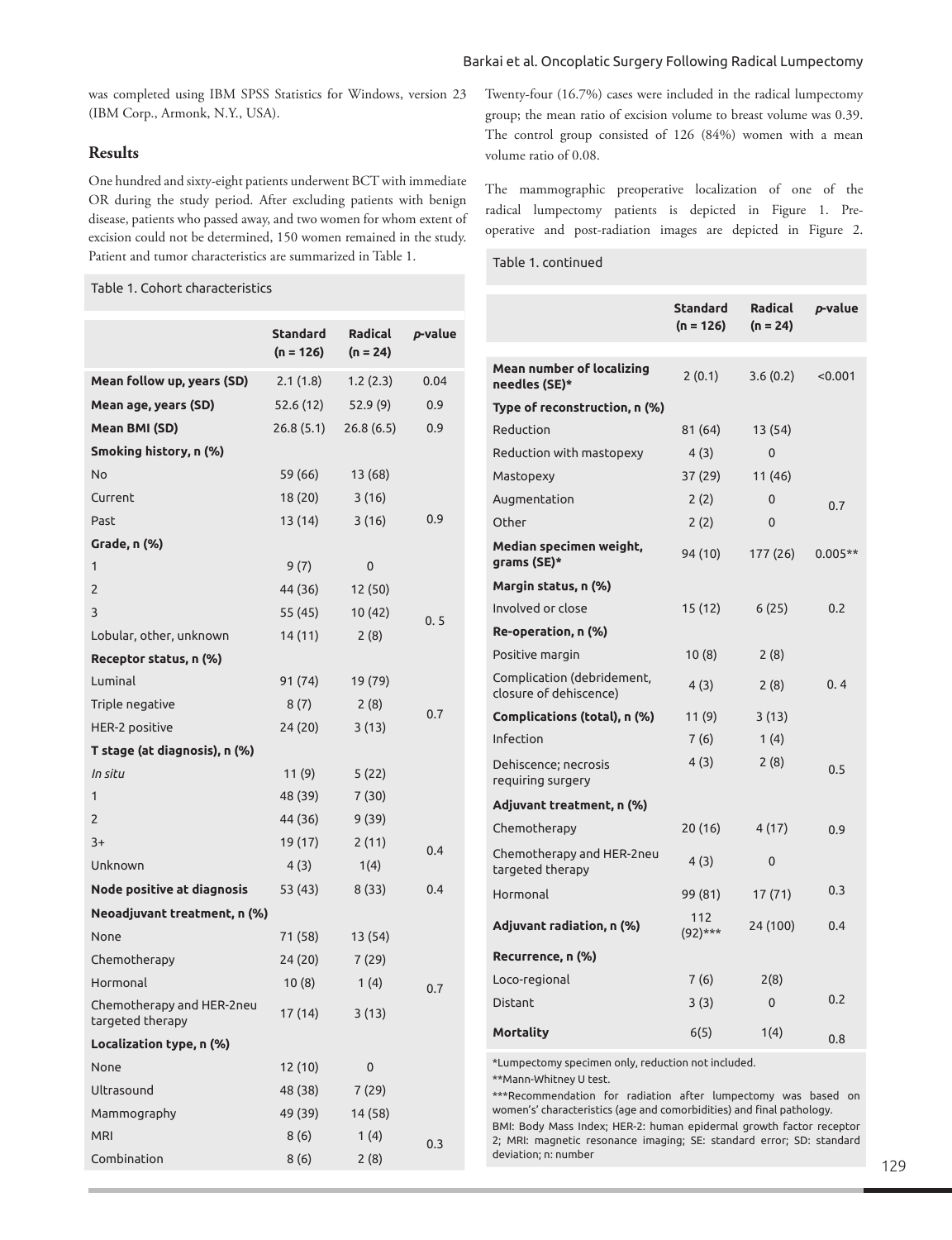## Barkai et al. Oncoplatic Surgery Following Radical Lumpectomy

was completed using IBM SPSS Statistics for Windows, version 23 (IBM Corp., Armonk, N.Y., USA).

# **Results**

One hundred and sixty-eight patients underwent BCT with immediate OR during the study period. After excluding patients with benign disease, patients who passed away, and two women for whom extent of excision could not be determined, 150 women remained in the study. Patient and tumor characteristics are summarized in Table 1.

# Table 1. Cohort characteristics

|                                               | Standard<br>$(n = 126)$ | <b>Radical</b><br>$(n = 24)$ | p-value |
|-----------------------------------------------|-------------------------|------------------------------|---------|
| Mean follow up, years (SD)                    | 2.1(1.8)                | 1.2(2.3)                     | 0.04    |
| Mean age, years (SD)                          | 52.6 (12)               | 52.9(9)                      | 0.9     |
| Mean BMI (SD)                                 | 26.8(5.1)               | 26.8(6.5)                    | 0.9     |
| Smoking history, n (%)                        |                         |                              |         |
| No                                            | 59 (66)                 | 13 (68)                      |         |
| Current                                       | 18 (20)                 | 3(16)                        |         |
| Past                                          | 13 (14)                 | 3(16)                        | 0.9     |
| Grade, n (%)                                  |                         |                              |         |
| 1                                             | 9(7)                    | 0                            |         |
| 2                                             | 44 (36)                 | 12 (50)                      |         |
| 3                                             | 55 (45)                 | 10 (42)                      | 0.5     |
| Lobular, other, unknown                       | 14(11)                  | 2(8)                         |         |
| Receptor status, n (%)                        |                         |                              |         |
| Luminal                                       | 91 (74)                 | 19 (79)                      |         |
| Triple negative                               | 8(7)                    | 2(8)                         | 0.7     |
| HER-2 positive                                | 24 (20)                 | 3 (13)                       |         |
| T stage (at diagnosis), n (%)                 |                         |                              |         |
| In situ                                       | 11(9)                   | 5(22)                        |         |
| 1                                             | 48 (39)                 | 7 (30)                       |         |
| 2                                             | 44 (36)                 | 9(39)                        |         |
| $3+$                                          | 19 (17)                 | 2(11)                        | 0.4     |
| Unknown                                       | 4(3)                    | 1(4)                         |         |
| Node positive at diagnosis                    | 53 (43)                 | 8 (33)                       | 0.4     |
| Neoadjuvant treatment, n (%)                  |                         |                              |         |
| None                                          | 71 (58)                 | 13 (54)                      |         |
| Chemotherapy                                  | 24 (20)                 | 7(29)                        |         |
| Hormonal                                      | 10 (8)                  | 1(4)                         | 0.7     |
| Chemotherapy and HER-2neu<br>targeted therapy | 17 (14)                 | 3(13)                        |         |
| Localization type, n (%)                      |                         |                              |         |
| None                                          | 12 (10)                 | 0                            |         |
| Ultrasound                                    | 48 (38)                 | 7(29)                        |         |
| Mammography                                   | 49 (39)                 | 14 (58)                      |         |
| <b>MRI</b>                                    | 8(6)                    | 1(4)                         | 0.3     |
| Combination                                   | 8(6)                    | 2(8)                         |         |
|                                               |                         |                              |         |

Twenty-four (16.7%) cases were included in the radical lumpectomy group; the mean ratio of excision volume to breast volume was 0.39. The control group consisted of 126 (84%) women with a mean volume ratio of 0.08.

The mammographic preoperative localization of one of the radical lumpectomy patients is depicted in Figure 1. Preoperative and post-radiation images are depicted in Figure 2.

# Table 1. continued

|                                                      | Standard<br>$(n = 126)$ | <b>Radical</b><br>$(n = 24)$ | p-value   |
|------------------------------------------------------|-------------------------|------------------------------|-----------|
| <b>Mean number of localizing</b><br>needles (SE)*    | 2(0.1)                  | 3.6(0.2)                     | < 0.001   |
| Type of reconstruction, n (%)                        |                         |                              |           |
| Reduction                                            | 81 (64)                 | 13 (54)                      |           |
| Reduction with mastopexy                             | 4 (3)                   | $\mathbf{0}$                 |           |
| Mastopexy                                            | 37 (29)                 | 11 (46)                      |           |
| Augmentation                                         | 2(2)                    | 0                            | 0.7       |
| Other                                                | 2(2)                    | 0                            |           |
| Median specimen weight,<br>grams (SE)*               | 94 (10)                 | 177 (26)                     | $0.005**$ |
| Margin status, n (%)                                 |                         |                              |           |
| Involved or close                                    | 15 (12)                 | 6(25)                        | 0.2       |
| Re-operation, n (%)                                  |                         |                              |           |
| Positive margin                                      | 10 (8)                  | 2(8)                         |           |
| Complication (debridement,<br>closure of dehiscence) | 4(3)                    | 2(8)                         | 0.4       |
| Complications (total), n (%)                         | 11 (9)                  | 3(13)                        |           |
| Infection                                            | 7(6)                    | 1(4)                         |           |
| Dehiscence; necrosis<br>requiring surgery            | 4(3)                    | 2(8)                         | 0.5       |
| Adjuvant treatment, n (%)                            |                         |                              |           |
| Chemotherapy                                         | 20 (16)                 | 4 (17)                       | 0.9       |
| Chemotherapy and HER-2neu<br>targeted therapy        | 4 (3)                   | 0                            |           |
| Hormonal                                             | 99 (81)                 | 17 (71)                      | 0.3       |
| Adjuvant radiation, n (%)                            | 112<br>$(92)***$        | 24 (100)                     | 0.4       |
| Recurrence, n (%)                                    |                         |                              |           |
| Loco-regional                                        | 7(6)                    | 2(8)                         |           |
| <b>Distant</b>                                       | 3(3)                    | $\mathbf{0}$                 | 0.2       |
| Mortality                                            | 6(5)                    | 1(4)                         | 0.8       |

\*Lumpectomy specimen only, reduction not included. \*\*Mann-Whitney U test.

\*\*\*Recommendation for radiation after lumpectomy was based on women's' characteristics (age and comorbidities) and final pathology. BMI: Body Mass Index; HER-2: human epidermal growth factor receptor 2; MRI: magnetic resonance imaging; SE: standard error; SD: standard deviation; n: number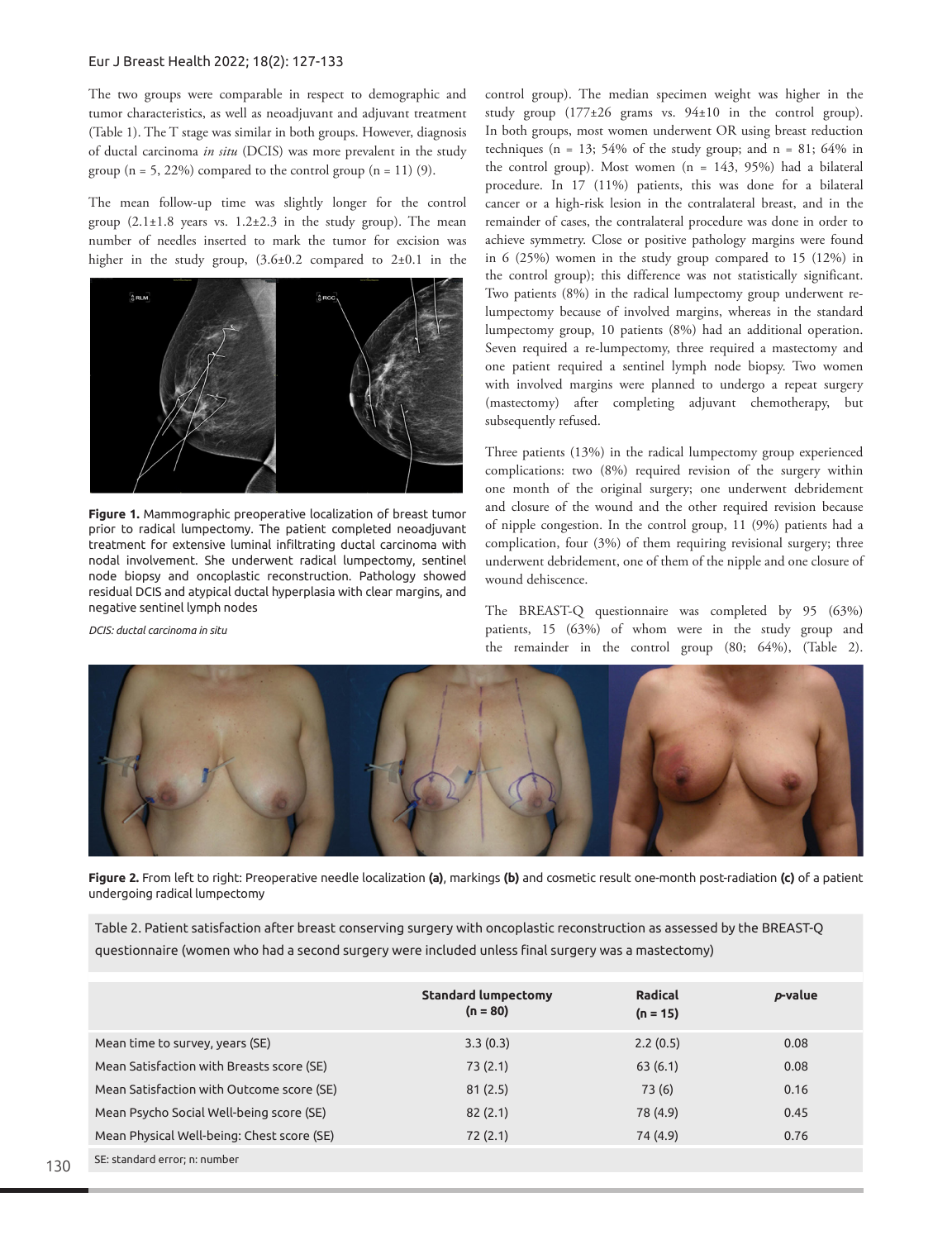#### Eur J Breast Health 2022; 18(2): 127-133

The two groups were comparable in respect to demographic and tumor characteristics, as well as neoadjuvant and adjuvant treatment (Table 1). The T stage was similar in both groups. However, diagnosis of ductal carcinoma *in situ* (DCIS) was more prevalent in the study group  $(n = 5, 22\%)$  compared to the control group  $(n = 11)$  (9).

The mean follow-up time was slightly longer for the control group  $(2.1\pm1.8$  years vs.  $1.2\pm2.3$  in the study group). The mean number of needles inserted to mark the tumor for excision was higher in the study group,  $(3.6\pm0.2$  compared to  $2\pm0.1$  in the



**Figure 1.** Mammographic preoperative localization of breast tumor prior to radical lumpectomy. The patient completed neoadjuvant treatment for extensive luminal infiltrating ductal carcinoma with nodal involvement. She underwent radical lumpectomy, sentinel node biopsy and oncoplastic reconstruction. Pathology showed residual DCIS and atypical ductal hyperplasia with clear margins, and negative sentinel lymph nodes

*DCIS: ductal carcinoma in situ*

control group). The median specimen weight was higher in the study group  $(177\pm26)$  grams vs.  $94\pm10$  in the control group). In both groups, most women underwent OR using breast reduction techniques (n = 13; 54% of the study group; and n = 81; 64% in the control group). Most women (n = 143, 95%) had a bilateral procedure. In 17 (11%) patients, this was done for a bilateral cancer or a high-risk lesion in the contralateral breast, and in the remainder of cases, the contralateral procedure was done in order to achieve symmetry. Close or positive pathology margins were found in 6 (25%) women in the study group compared to 15 (12%) in the control group); this difference was not statistically significant. Two patients (8%) in the radical lumpectomy group underwent relumpectomy because of involved margins, whereas in the standard lumpectomy group, 10 patients (8%) had an additional operation. Seven required a re-lumpectomy, three required a mastectomy and one patient required a sentinel lymph node biopsy. Two women with involved margins were planned to undergo a repeat surgery (mastectomy) after completing adjuvant chemotherapy, but subsequently refused.

Three patients (13%) in the radical lumpectomy group experienced complications: two (8%) required revision of the surgery within one month of the original surgery; one underwent debridement and closure of the wound and the other required revision because of nipple congestion. In the control group, 11 (9%) patients had a complication, four (3%) of them requiring revisional surgery; three underwent debridement, one of them of the nipple and one closure of wound dehiscence.

The BREAST-Q questionnaire was completed by 95 (63%) patients, 15 (63%) of whom were in the study group and the remainder in the control group (80; 64%), (Table 2).



**Figure 2.** From left to right: Preoperative needle localization **(a)**, markings **(b)** and cosmetic result one-month post-radiation **(c)** of a patient undergoing radical lumpectomy

Table 2. Patient satisfaction after breast conserving surgery with oncoplastic reconstruction as assessed by the BREAST-Q questionnaire (women who had a second surgery were included unless final surgery was a mastectomy)

|                                            | <b>Standard lumpectomy</b><br>$(n = 80)$ | Radical<br>$(n = 15)$ | p-value |
|--------------------------------------------|------------------------------------------|-----------------------|---------|
| Mean time to survey, years (SE)            | 3.3(0.3)                                 | 2.2(0.5)              | 0.08    |
| Mean Satisfaction with Breasts score (SE)  | 73(2.1)                                  | 63(6.1)               | 0.08    |
| Mean Satisfaction with Outcome score (SE)  | 81(2.5)                                  | 73(6)                 | 0.16    |
| Mean Psycho Social Well-being score (SE)   | 82(2.1)                                  | 78 (4.9)              | 0.45    |
| Mean Physical Well-being: Chest score (SE) | 72(2.1)                                  | 74 (4.9)              | 0.76    |
| SE: standard error; n: number              |                                          |                       |         |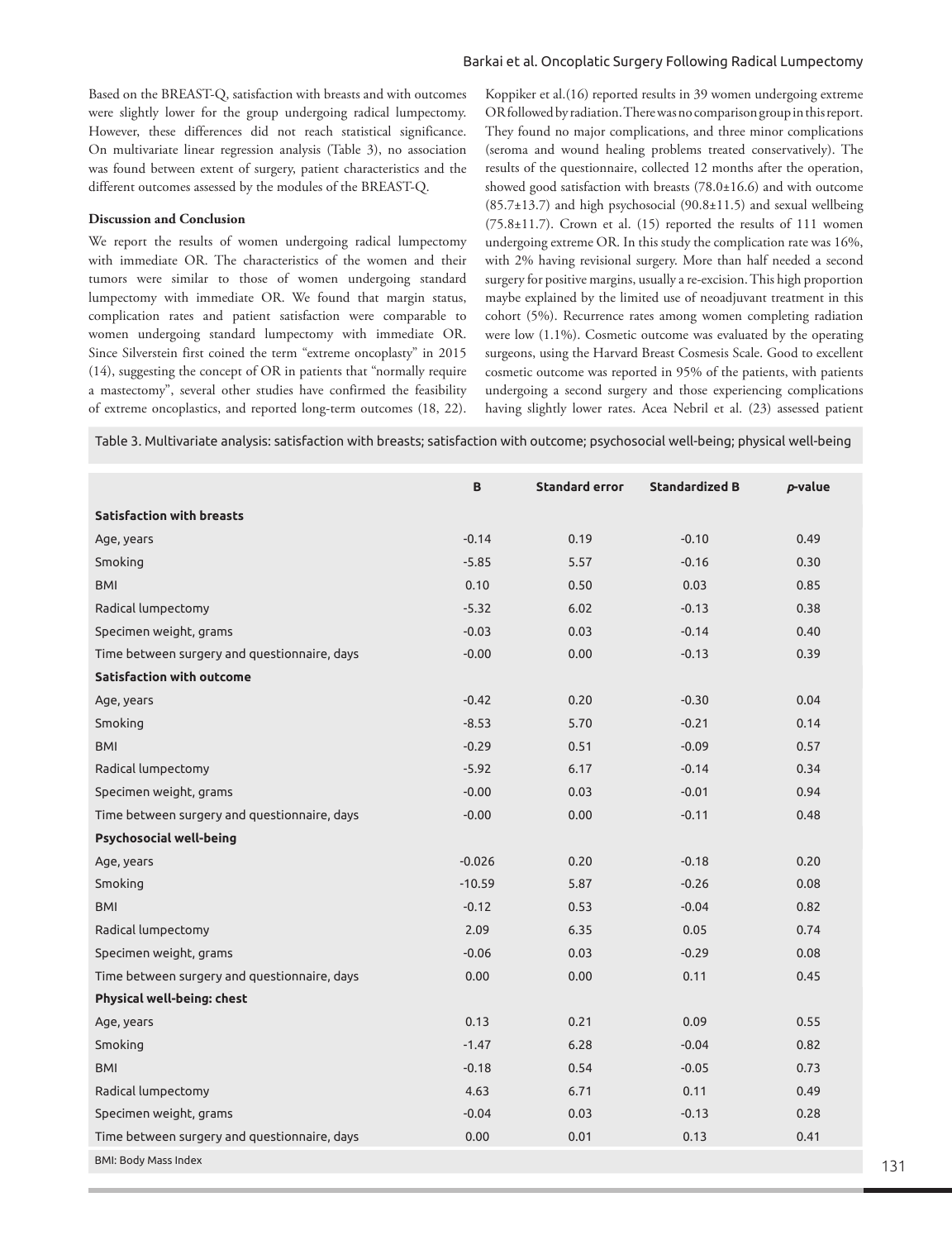## Barkai et al. Oncoplatic Surgery Following Radical Lumpectomy

Based on the BREAST-Q, satisfaction with breasts and with outcomes were slightly lower for the group undergoing radical lumpectomy. However, these differences did not reach statistical significance. On multivariate linear regression analysis (Table 3), no association was found between extent of surgery, patient characteristics and the different outcomes assessed by the modules of the BREAST-Q.

# **Discussion and Conclusion**

We report the results of women undergoing radical lumpectomy with immediate OR. The characteristics of the women and their tumors were similar to those of women undergoing standard lumpectomy with immediate OR. We found that margin status, complication rates and patient satisfaction were comparable to women undergoing standard lumpectomy with immediate OR. Since Silverstein first coined the term "extreme oncoplasty" in 2015 (14), suggesting the concept of OR in patients that "normally require a mastectomy", several other studies have confirmed the feasibility of extreme oncoplastics, and reported long-term outcomes (18, 22).

Koppiker et al.(16) reported results in 39 women undergoing extreme OR followed by radiation. There was no comparison group in this report. They found no major complications, and three minor complications (seroma and wound healing problems treated conservatively). The results of the questionnaire, collected 12 months after the operation, showed good satisfaction with breasts (78.0±16.6) and with outcome  $(85.7\pm13.7)$  and high psychosocial  $(90.8\pm11.5)$  and sexual wellbeing  $(75.8\pm11.7)$ . Crown et al.  $(15)$  reported the results of 111 women undergoing extreme OR. In this study the complication rate was 16%, with 2% having revisional surgery. More than half needed a second surgery for positive margins, usually a re-excision. This high proportion maybe explained by the limited use of neoadjuvant treatment in this cohort (5%). Recurrence rates among women completing radiation were low (1.1%). Cosmetic outcome was evaluated by the operating surgeons, using the Harvard Breast Cosmesis Scale. Good to excellent cosmetic outcome was reported in 95% of the patients, with patients undergoing a second surgery and those experiencing complications having slightly lower rates. Acea Nebril et al. (23) assessed patient

Table 3. Multivariate analysis: satisfaction with breasts; satisfaction with outcome; psychosocial well-being; physical well-being

|                                              | B        | <b>Standard error</b> | <b>Standardized B</b> | p-value |
|----------------------------------------------|----------|-----------------------|-----------------------|---------|
| <b>Satisfaction with breasts</b>             |          |                       |                       |         |
| Age, years                                   | $-0.14$  | 0.19                  | $-0.10$               | 0.49    |
| Smoking                                      | $-5.85$  | 5.57                  | $-0.16$               | 0.30    |
| <b>BMI</b>                                   | 0.10     | 0.50                  | 0.03                  | 0.85    |
| Radical lumpectomy                           | $-5.32$  | 6.02                  | $-0.13$               | 0.38    |
| Specimen weight, grams                       | $-0.03$  | 0.03                  | $-0.14$               | 0.40    |
| Time between surgery and questionnaire, days | $-0.00$  | 0.00                  | $-0.13$               | 0.39    |
| <b>Satisfaction with outcome</b>             |          |                       |                       |         |
| Age, years                                   | $-0.42$  | 0.20                  | $-0.30$               | 0.04    |
| Smoking                                      | $-8.53$  | 5.70                  | $-0.21$               | 0.14    |
| <b>BMI</b>                                   | $-0.29$  | 0.51                  | $-0.09$               | 0.57    |
| Radical lumpectomy                           | $-5.92$  | 6.17                  | $-0.14$               | 0.34    |
| Specimen weight, grams                       | $-0.00$  | 0.03                  | $-0.01$               | 0.94    |
| Time between surgery and questionnaire, days | $-0.00$  | 0.00                  | $-0.11$               | 0.48    |
| <b>Psychosocial well-being</b>               |          |                       |                       |         |
| Age, years                                   | $-0.026$ | 0.20                  | $-0.18$               | 0.20    |
| Smoking                                      | $-10.59$ | 5.87                  | $-0.26$               | 0.08    |
| <b>BMI</b>                                   | $-0.12$  | 0.53                  | $-0.04$               | 0.82    |
| Radical lumpectomy                           | 2.09     | 6.35                  | 0.05                  | 0.74    |
| Specimen weight, grams                       | $-0.06$  | 0.03                  | $-0.29$               | 0.08    |
| Time between surgery and questionnaire, days | 0.00     | 0.00                  | 0.11                  | 0.45    |
| Physical well-being: chest                   |          |                       |                       |         |
| Age, years                                   | 0.13     | 0.21                  | 0.09                  | 0.55    |
| Smoking                                      | $-1.47$  | 6.28                  | $-0.04$               | 0.82    |
| <b>BMI</b>                                   | $-0.18$  | 0.54                  | $-0.05$               | 0.73    |
| Radical lumpectomy                           | 4.63     | 6.71                  | 0.11                  | 0.49    |
| Specimen weight, grams                       | $-0.04$  | 0.03                  | $-0.13$               | 0.28    |
| Time between surgery and questionnaire, days | 0.00     | 0.01                  | 0.13                  | 0.41    |
| <b>BMI: Body Mass Index</b>                  |          |                       |                       |         |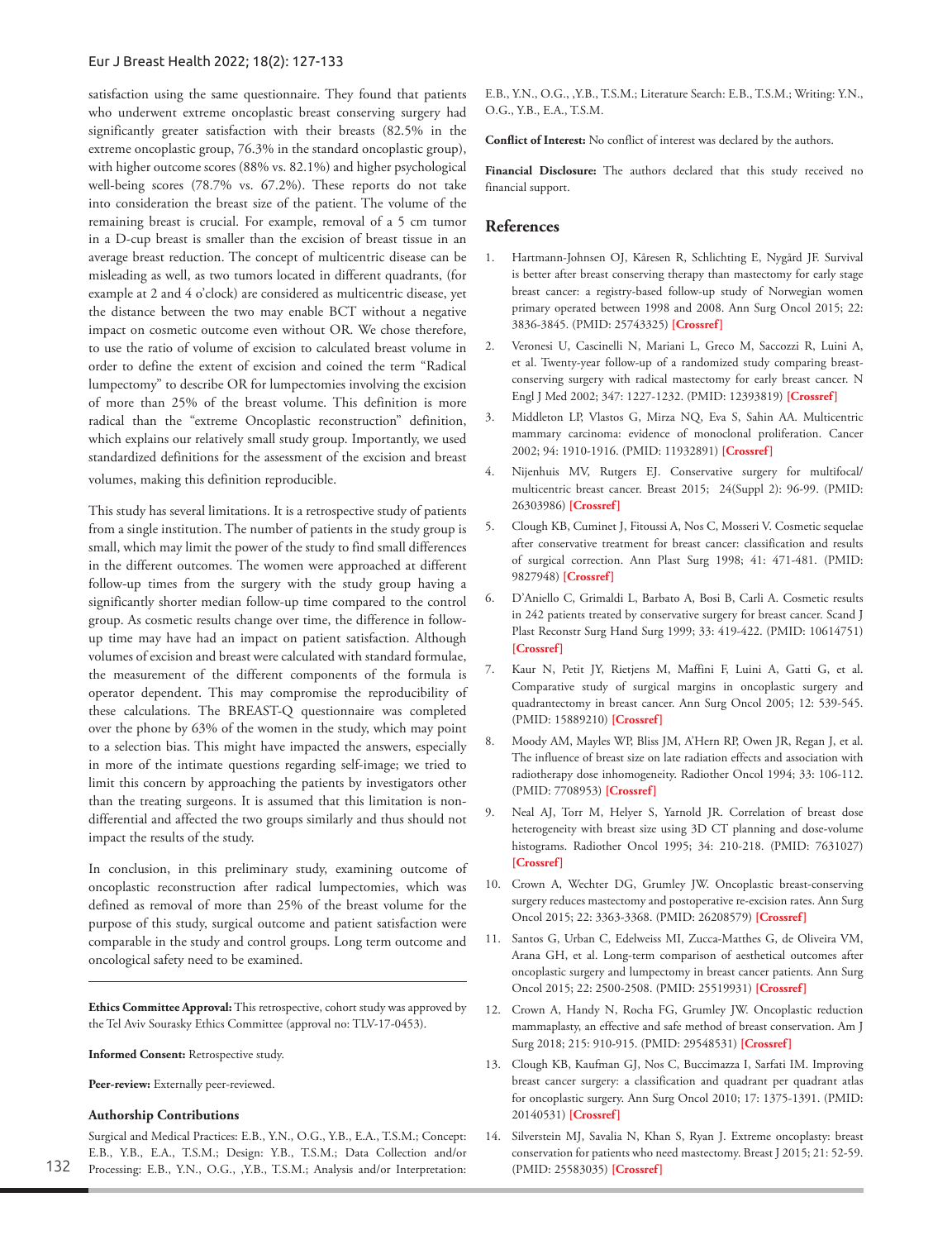satisfaction using the same questionnaire. They found that patients who underwent extreme oncoplastic breast conserving surgery had significantly greater satisfaction with their breasts (82.5% in the extreme oncoplastic group, 76.3% in the standard oncoplastic group), with higher outcome scores (88% vs. 82.1%) and higher psychological well-being scores (78.7% vs. 67.2%). These reports do not take into consideration the breast size of the patient. The volume of the remaining breast is crucial. For example, removal of a 5 cm tumor in a D-cup breast is smaller than the excision of breast tissue in an average breast reduction. The concept of multicentric disease can be misleading as well, as two tumors located in different quadrants, (for example at 2 and 4 o'clock) are considered as multicentric disease, yet the distance between the two may enable BCT without a negative impact on cosmetic outcome even without OR. We chose therefore, to use the ratio of volume of excision to calculated breast volume in order to define the extent of excision and coined the term "Radical lumpectomy" to describe OR for lumpectomies involving the excision of more than 25% of the breast volume. This definition is more radical than the "extreme Oncoplastic reconstruction" definition, which explains our relatively small study group. Importantly, we used standardized definitions for the assessment of the excision and breast volumes, making this definition reproducible.

This study has several limitations. It is a retrospective study of patients from a single institution. The number of patients in the study group is small, which may limit the power of the study to find small differences in the different outcomes. The women were approached at different follow-up times from the surgery with the study group having a significantly shorter median follow-up time compared to the control group. As cosmetic results change over time, the difference in followup time may have had an impact on patient satisfaction. Although volumes of excision and breast were calculated with standard formulae, the measurement of the different components of the formula is operator dependent. This may compromise the reproducibility of these calculations. The BREAST-Q questionnaire was completed over the phone by 63% of the women in the study, which may point to a selection bias. This might have impacted the answers, especially in more of the intimate questions regarding self-image; we tried to limit this concern by approaching the patients by investigators other than the treating surgeons. It is assumed that this limitation is nondifferential and affected the two groups similarly and thus should not impact the results of the study.

In conclusion, in this preliminary study, examining outcome of oncoplastic reconstruction after radical lumpectomies, which was defined as removal of more than 25% of the breast volume for the purpose of this study, surgical outcome and patient satisfaction were comparable in the study and control groups. Long term outcome and oncological safety need to be examined.

**Ethics Committee Approval:** This retrospective, cohort study was approved by the Tel Aviv Sourasky Ethics Committee (approval no: TLV-17-0453).

**Informed Consent:** Retrospective study.

**Peer-review:** Externally peer-reviewed.

#### **Authorship Contributions**

Surgical and Medical Practices: E.B., Y.N., O.G., Y.B., E.A., T.S.M.; Concept: E.B., Y.B., E.A., T.S.M.; Design: Y.B., T.S.M.; Data Collection and/or Processing: E.B., Y.N., O.G., ,Y.B., T.S.M.; Analysis and/or Interpretation: E.B., Y.N., O.G., ,Y.B., T.S.M.; Literature Search: E.B., T.S.M.; Writing: Y.N., O.G., Y.B., E.A., T.S.M.

**Conflict of Interest:** No conflict of interest was declared by the authors.

**Financial Disclosure:** The authors declared that this study received no financial support.

## **References**

- 1. Hartmann-Johnsen OJ, Kåresen R, Schlichting E, Nygård JF. Survival is better after breast conserving therapy than mastectomy for early stage breast cancer: a registry-based follow-up study of Norwegian women primary operated between 1998 and 2008. Ann Surg Oncol 2015; 22: 3836-3845. (PMID: 25743325) **[\[Crossref\]](https://doi.org/10.1245/s10434-015-4441-3)**
- 2. Veronesi U, Cascinelli N, Mariani L, Greco M, Saccozzi R, Luini A, et al. Twenty-year follow-up of a randomized study comparing breastconserving surgery with radical mastectomy for early breast cancer. N Engl J Med 2002; 347: 1227-1232. (PMID: 12393819) **[[Crossref\]](https://doi.org/10.1056/NEJMoa020989)**
- 3. Middleton LP, Vlastos G, Mirza NQ, Eva S, Sahin AA. Multicentric mammary carcinoma: evidence of monoclonal proliferation. Cancer 2002; 94: 1910-1916. (PMID: 11932891) **[\[Crossref](https://doi.org/10.1002/cncr.10452)]**
- 4. Nijenhuis MV, Rutgers EJ. Conservative surgery for multifocal/ multicentric breast cancer. Breast 2015; 24(Suppl 2): 96-99. (PMID: 26303986) **[[Crossref](https://doi.org/10.1016/j.breast.2015.07.023)]**
- 5. Clough KB, Cuminet J, Fitoussi A, Nos C, Mosseri V. Cosmetic sequelae after conservative treatment for breast cancer: classification and results of surgical correction. Ann Plast Surg 1998; 41: 471-481. (PMID: 9827948) **[[Crossref\]](https://doi.org/0.1097/00000637-199811000-00004)**
- 6. D'Aniello C, Grimaldi L, Barbato A, Bosi B, Carli A. Cosmetic results in 242 patients treated by conservative surgery for breast cancer. Scand J Plast Reconstr Surg Hand Surg 1999; 33: 419-422. (PMID: 10614751) **[[Crossref](https://doi.org/10.1080/02844319950159136)]**
- 7. Kaur N, Petit JY, Rietjens M, Maffini F, Luini A, Gatti G, et al. Comparative study of surgical margins in oncoplastic surgery and quadrantectomy in breast cancer. Ann Surg Oncol 2005; 12: 539-545. (PMID: 15889210) **[[Crossref\]](https://doi.org/10.1245/ASO.2005.12.046)**
- 8. Moody AM, Mayles WP, Bliss JM, A'Hern RP, Owen JR, Regan J, et al. The influence of breast size on late radiation effects and association with radiotherapy dose inhomogeneity. Radiother Oncol 1994; 33: 106-112. (PMID: 7708953) **[\[Crossref\]](https://doi.org/10.1016/0167-8140(94)90063-9)**
- 9. Neal AJ, Torr M, Helyer S, Yarnold JR. Correlation of breast dose heterogeneity with breast size using 3D CT planning and dose-volume histograms. Radiother Oncol 1995; 34: 210-218. (PMID: 7631027) **[[Crossref](https://doi.org/10.1016/0167-8140(95)01521-h)]**
- 10. Crown A, Wechter DG, Grumley JW. Oncoplastic breast-conserving surgery reduces mastectomy and postoperative re-excision rates. Ann Surg Oncol 2015; 22: 3363-3368. (PMID: 26208579) **[\[Crossref](https://doi.org/10.1245/s10434-015-4738-2)]**
- 11. Santos G, Urban C, Edelweiss MI, Zucca-Matthes G, de Oliveira VM, Arana GH, et al. Long-term comparison of aesthetical outcomes after oncoplastic surgery and lumpectomy in breast cancer patients. Ann Surg Oncol 2015; 22: 2500-2508. (PMID: 25519931) **[\[Crossref\]](https://doi.org/10.1245/s10434-014-4301-6)**
- 12. Crown A, Handy N, Rocha FG, Grumley JW. Oncoplastic reduction mammaplasty, an effective and safe method of breast conservation. Am J Surg 2018; 215: 910-915. (PMID: 29548531) **[[Crossref\]](https://doi.org/10.1016/j.amjsurg.2018.02.024)**
- 13. Clough KB, Kaufman GJ, Nos C, Buccimazza I, Sarfati IM. Improving breast cancer surgery: a classification and quadrant per quadrant atlas for oncoplastic surgery. Ann Surg Oncol 2010; 17: 1375-1391. (PMID: 20140531) **[\[Crossref](https://doi.org/10.1245/s10434-009-0792-y)]**
- 14. Silverstein MJ, Savalia N, Khan S, Ryan J. Extreme oncoplasty: breast conservation for patients who need mastectomy. Breast J 2015; 21: 52-59. (PMID: 25583035) **[[Crossref\]](https://doi.org/10.1111/tbj.12356)**

132